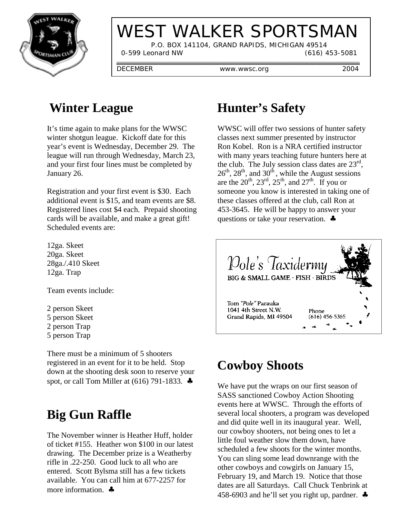

# WEST WALKER SPORTSMAN

 P.O. BOX 141104, GRAND RAPIDS, MICHIGAN 49514 0-599 Leonard NW (616) 453-5081

DECEMBER www.wwsc.org 2004

### **Winter League**

It's time again to make plans for the WWSC winter shotgun league. Kickoff date for this year's event is Wednesday, December 29. The league will run through Wednesday, March 23, and your first four lines must be completed by January 26.

Registration and your first event is \$30. Each additional event is \$15, and team events are \$8. Registered lines cost \$4 each. Prepaid shooting cards will be available, and make a great gift! Scheduled events are:

12ga. Skeet 20ga. Skeet 28ga./.410 Skeet 12ga. Trap

Team events include:

2 person Skeet 5 person Skeet 2 person Trap 5 person Trap

There must be a minimum of 5 shooters registered in an event for it to be held. Stop down at the shooting desk soon to reserve your spot, or call Tom Miller at (616) 791-1833. ♣

### **Big Gun Raffle**

The November winner is Heather Huff, holder of ticket #155. Heather won \$100 in our latest drawing. The December prize is a Weatherby rifle in .22-250. Good luck to all who are entered. Scott Bylsma still has a few tickets available. You can call him at 677-2257 for more information. ♣

#### **Hunter's Safety**

WWSC will offer two sessions of hunter safety classes next summer presented by instructor Ron Kobel. Ron is a NRA certified instructor with many years teaching future hunters here at the club. The July session class dates are  $23<sup>rd</sup>$ ,  $26<sup>th</sup>$ ,  $28<sup>th</sup>$ , and  $30<sup>th</sup>$ , while the August sessions are the  $20^{th}$ ,  $23^{rd}$ ,  $25^{th}$ , and  $27^{th}$ . If you or someone you know is interested in taking one of these classes offered at the club, call Ron at 453-3645. He will be happy to answer your questions or take your reservation. ♣



### **Cowboy Shoots**

We have put the wraps on our first season of SASS sanctioned Cowboy Action Shooting events here at WWSC. Through the efforts of several local shooters, a program was developed and did quite well in its inaugural year. Well, our cowboy shooters, not being ones to let a little foul weather slow them down, have scheduled a few shoots for the winter months. You can sling some lead downrange with the other cowboys and cowgirls on January 15, February 19, and March 19. Notice that those dates are all Saturdays. Call Chuck Tenbrink at 458-6903 and he'll set you right up, pardner. ♣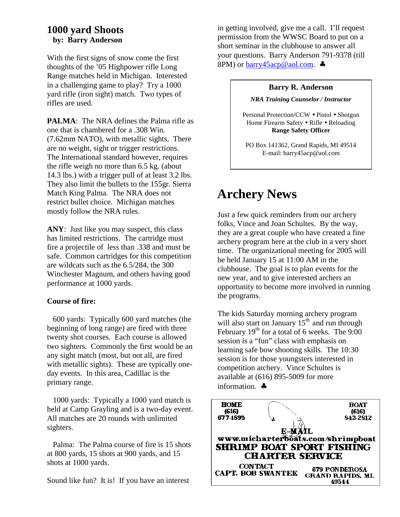#### **1000 yard Shoots by: Barry Anderson**

With the first signs of snow come the first thoughts of the '05 Highpower rifle Long Range matches held in Michigan. Interested in a challenging game to play? Try a 1000 yard rifle (iron sight) match. Two types of rifles are used.

**PALMA:** The NRA defines the Palma rifle as one that is chambered for a .308 Win. (7.62mm NATO), with metallic sights. There are no weight, sight or trigger restrictions. The International standard however, requires the rifle weigh no more than 6.5 kg. (about 14.3 lbs.) with a trigger pull of at least 3.2 lbs. They also limit the bullets to the 155gr. Sierra Match King Palma. The NRA does not restrict bullet choice. Michigan matches mostly follow the NRA rules.

**ANY**: Just like you may suspect, this class has limited restrictions. The cartridge must fire a projectile of less than .338 and must be safe. Common cartridges for this competition are wildcats such as the 6.5/284, the 300 Winchester Magnum, and others having good performance at 1000 yards.

#### **Course of fire:**

 600 yards: Typically 600 yard matches (the beginning of long range) are fired with three twenty shot courses. Each course is allowed two sighters. Commonly the first would be an any sight match (most, but not all, are fired with metallic sights). These are typically oneday events. In this area, Cadillac is the primary range.

 1000 yards: Typically a 1000 yard match is held at Camp Grayling and is a two-day event. All matches are 20 rounds with unlimited sighters.

 Palma: The Palma course of fire is 15 shots at 800 yards, 15 shots at 900 yards, and 15 shots at 1000 yards.

Sound like fun? It is! If you have an interest

in getting involved, give me a call. I'll request permission from the WWSC Board to put on a short seminar in the clubhouse to answer all your questions. Barry Anderson 791-9378 (till 8PM) or barry45acp@aol.com. ♣

#### **Barry R. Anderson**

*NRA Training Counselor / Instructor*

Personal Protection/CCW • Pistol • Shotgun Home Firearm Safety • Rifle • Reloading **Range Safety Officer**

PO Box 141362, Grand Rapids, MI 49514 E-mail: barry45acp@aol.com

## **Archery News**

Just a few quick reminders from our archery folks, Vince and Joan Schultes. By the way, they are a great couple who have created a fine archery program here at the club in a very short time. The organizational meeting for 2005 will be held January 15 at 11:00 AM in the clubhouse. The goal is to plan events for the new year, and to give interested archers an opportunity to become more involved in running the programs.

The kids Saturday morning archery program will also start on January  $15<sup>th</sup>$  and run through February  $19^{th}$  for a total of 6 weeks. The 9:00 session is a "fun" class with emphasis on learning safe bow shooting skills. The 10:30 session is for those youngsters interested in competition archery. Vince Schultes is available at (616) 895-5009 for more information. ♣

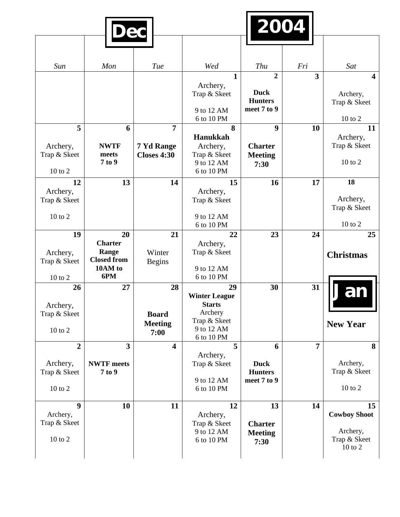|                                                             |                                                                 |                                                    |                                                                                                    | 2004                                                           |                         |                                                                      |
|-------------------------------------------------------------|-----------------------------------------------------------------|----------------------------------------------------|----------------------------------------------------------------------------------------------------|----------------------------------------------------------------|-------------------------|----------------------------------------------------------------------|
|                                                             |                                                                 |                                                    |                                                                                                    |                                                                |                         |                                                                      |
| Sun                                                         | Mon                                                             | Tue                                                | Wed                                                                                                | Thu                                                            | Fri                     | Sat                                                                  |
|                                                             |                                                                 |                                                    | $\mathbf{1}$<br>Archery,<br>Trap & Skeet<br>9 to 12 AM<br>6 to 10 PM                               | $\overline{2}$<br><b>Duck</b><br><b>Hunters</b><br>meet 7 to 9 | $\overline{\mathbf{3}}$ | $\overline{\mathbf{4}}$<br>Archery,<br>Trap & Skeet<br>$10$ to $2$   |
| 5<br>Archery,<br>Trap & Skeet<br>10 to 2                    | 6<br><b>NWTF</b><br>meets<br>7 to 9                             | $\overline{7}$<br>7 Yd Range<br><b>Closes 4:30</b> | 8<br>Hanukkah<br>Archery,<br>Trap & Skeet<br>9 to 12 AM<br>6 to 10 PM                              | 9<br><b>Charter</b><br><b>Meeting</b><br>7:30                  | 10                      | 11<br>Archery,<br>Trap & Skeet<br>10 to 2                            |
| 12<br>Archery,<br>Trap & Skeet<br>10 to 2                   | 13                                                              | 14                                                 | 15<br>Archery,<br>Trap & Skeet<br>9 to 12 AM<br>6 to 10 PM                                         | 16                                                             | 17                      | 18<br>Archery,<br>Trap & Skeet<br>10 to 2                            |
| 19                                                          | 20                                                              | 21                                                 | 22                                                                                                 | 23                                                             | 24                      | 25                                                                   |
| Archery,<br>Trap & Skeet<br>10 to 2                         | <b>Charter</b><br>Range<br><b>Closed from</b><br>10AM to<br>6PM | Winter<br><b>Begins</b>                            | Archery,<br>Trap & Skeet<br>9 to 12 AM<br>6 to 10 PM                                               |                                                                |                         | <b>Christmas</b>                                                     |
| 26<br>Archery,<br>Trap & Skeet<br>10 to 2                   | 27                                                              | 28<br><b>Board</b><br><b>Meeting</b><br>7:00       | 29<br><b>Winter League</b><br><b>Starts</b><br>Archery<br>Trap & Skeet<br>9 to 12 AM<br>6 to 10 PM | 30                                                             | 31                      | <b>New Year</b>                                                      |
| $\overline{2}$                                              | $\overline{\mathbf{3}}$                                         | $\overline{\mathbf{4}}$                            | 5                                                                                                  | 6                                                              | $\overline{7}$          | 8                                                                    |
| Archery,<br>Trap & Skeet<br>$10$ to $2$                     | <b>NWTF</b> meets<br>7 to 9                                     |                                                    | Archery,<br>Trap & Skeet<br>9 to 12 AM<br>6 to 10 PM                                               | <b>Duck</b><br><b>Hunters</b><br>meet 7 to 9                   |                         | Archery,<br>Trap & Skeet<br>10 to 2                                  |
| $\boldsymbol{9}$<br>Archery,<br>Trap & Skeet<br>$10$ to $2$ | 10                                                              | 11                                                 | 12<br>Archery,<br>Trap & Skeet<br>9 to 12 AM<br>6 to 10 PM                                         | 13<br><b>Charter</b><br><b>Meeting</b><br>7:30                 | 14                      | 15<br><b>Cowboy Shoot</b><br>Archery,<br>Trap & Skeet<br>$10$ to $2$ |